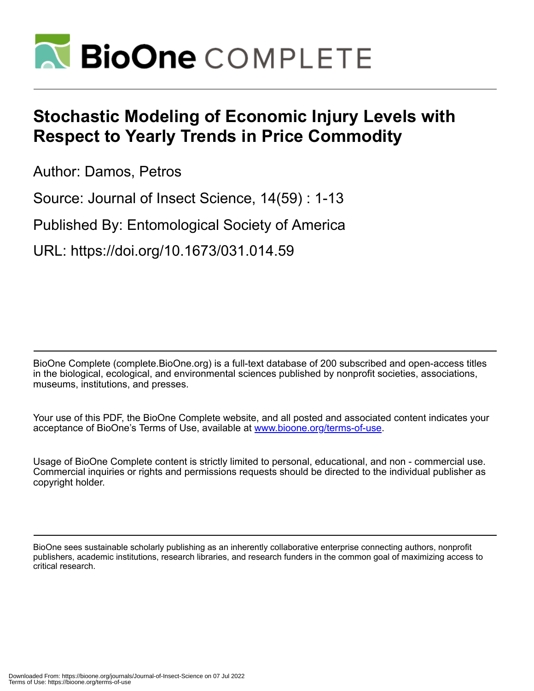

# **Stochastic Modeling of Economic Injury Levels with Respect to Yearly Trends in Price Commodity**

Author: Damos, Petros

Source: Journal of Insect Science, 14(59) : 1-13

Published By: Entomological Society of America

URL: https://doi.org/10.1673/031.014.59

BioOne Complete (complete.BioOne.org) is a full-text database of 200 subscribed and open-access titles in the biological, ecological, and environmental sciences published by nonprofit societies, associations, museums, institutions, and presses.

Your use of this PDF, the BioOne Complete website, and all posted and associated content indicates your acceptance of BioOne's Terms of Use, available at www.bioone.org/terms-of-use.

Usage of BioOne Complete content is strictly limited to personal, educational, and non - commercial use. Commercial inquiries or rights and permissions requests should be directed to the individual publisher as copyright holder.

BioOne sees sustainable scholarly publishing as an inherently collaborative enterprise connecting authors, nonprofit publishers, academic institutions, research libraries, and research funders in the common goal of maximizing access to critical research.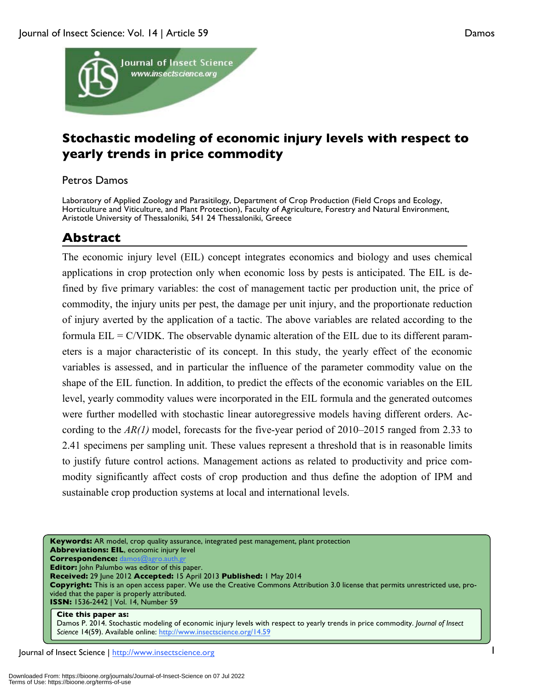

## **Stochastic modeling of economic injury levels with respect to yearly trends in price commodity**

## Petros Damos

Laboratory of Applied Zoology and Parasitilogy, Department of Crop Production (Field Crops and Ecology, Horticulture and Viticulture, and Plant Protection), Faculty of Agriculture, Forestry and Natural Environment, Aristotle University of Thessaloniki, 541 24 Thessaloniki, Greece

## **Abstract**

The economic injury level (EIL) concept integrates economics and biology and uses chemical applications in crop protection only when economic loss by pests is anticipated. The EIL is defined by five primary variables: the cost of management tactic per production unit, the price of commodity, the injury units per pest, the damage per unit injury, and the proportionate reduction of injury averted by the application of a tactic. The above variables are related according to the formula  $EIL = C/VIDK$ . The observable dynamic alteration of the  $EIL$  due to its different parameters is a major characteristic of its concept. In this study, the yearly effect of the economic variables is assessed, and in particular the influence of the parameter commodity value on the shape of the EIL function. In addition, to predict the effects of the economic variables on the EIL level, yearly commodity values were incorporated in the EIL formula and the generated outcomes were further modelled with stochastic linear autoregressive models having different orders. According to the *AR(1)* model, forecasts for the five-year period of 2010–2015 ranged from 2.33 to 2.41 specimens per sampling unit. These values represent a threshold that is in reasonable limits to justify future control actions. Management actions as related to productivity and price commodity significantly affect costs of crop production and thus define the adoption of IPM and sustainable crop production systems at local and international levels.

**Keywords:** AR model, crop quality assurance, integrated pest management, plant protection **Abbreviations: EIL**, economic injury level **Correspondence: Editor:** John Palumbo was editor of this paper. **Received:** 29 June 2012 **Accepted:** 15 April 2013 **Published:** 1 May 2014 **Copyright:** This is an open access paper. We use the Creative Commons Attribution 3.0 license that permits unrestricted use, provided that the paper is properly attributed. **ISSN:** 1536-2442 | Vol. 14, Number 59

# **Cite this paper as:**

Damos P. 2014. Stochastic modeling of economic injury levels with respect to yearly trends in price commodity. *Journal of Insect Science* 14(59). Available online: http://www.insectscience.org/14.59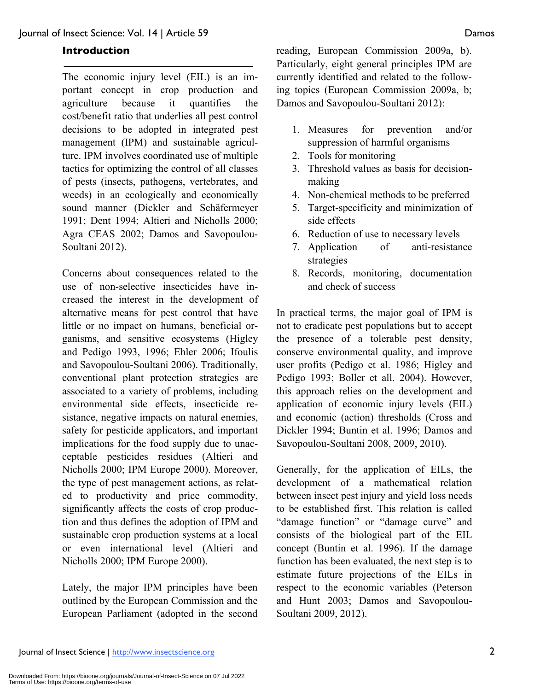## **Introduction**

The economic injury level (EIL) is an important concept in crop production and agriculture because it quantifies the cost/benefit ratio that underlies all pest control decisions to be adopted in integrated pest management (IPM) and sustainable agriculture. IPM involves coordinated use of multiple tactics for optimizing the control of all classes of pests (insects, pathogens, vertebrates, and weeds) in an ecologically and economically sound manner (Dickler and Schäfermeyer 1991; Dent 1994; Altieri and Nicholls 2000; Agra CEAS 2002; Damos and Savopoulou-Soultani 2012).

Concerns about consequences related to the use of non-selective insecticides have increased the interest in the development of alternative means for pest control that have little or no impact on humans, beneficial organisms, and sensitive ecosystems (Higley and Pedigo 1993, 1996; Ehler 2006; Ifoulis and Savopoulou-Soultani 2006). Traditionally, conventional plant protection strategies are associated to a variety of problems, including environmental side effects, insecticide resistance, negative impacts on natural enemies, safety for pesticide applicators, and important implications for the food supply due to unacceptable pesticides residues (Altieri and Nicholls 2000; IPM Europe 2000). Moreover, the type of pest management actions, as related to productivity and price commodity, significantly affects the costs of crop production and thus defines the adoption of IPM and sustainable crop production systems at a local or even international level (Altieri and Nicholls 2000; IPM Europe 2000).

Lately, the major IPM principles have been outlined by the European Commission and the European Parliament (adopted in the second

reading, European Commission 2009a, b). Particularly, eight general principles IPM are currently identified and related to the following topics (European Commission 2009a, b; Damos and Savopoulou-Soultani 2012):

- 1. Measures for prevention and/or suppression of harmful organisms
- 2. Tools for monitoring
- 3. Threshold values as basis for decisionmaking
- 4. Non-chemical methods to be preferred
- 5. Target-specificity and minimization of side effects
- 6. Reduction of use to necessary levels
- 7. Application of anti-resistance strategies
- 8. Records, monitoring, documentation and check of success

In practical terms, the major goal of IPM is not to eradicate pest populations but to accept the presence of a tolerable pest density, conserve environmental quality, and improve user profits (Pedigo et al. 1986; Higley and Pedigo 1993; Boller et all. 2004). However, this approach relies on the development and application of economic injury levels (EIL) and economic (action) thresholds (Cross and Dickler 1994; Buntin et al. 1996; Damos and Savopoulou-Soultani 2008, 2009, 2010).

Generally, for the application of EILs, the development of a mathematical relation between insect pest injury and yield loss needs to be established first. This relation is called "damage function" or "damage curve" and consists of the biological part of the EIL concept (Buntin et al. 1996). If the damage function has been evaluated, the next step is to estimate future projections of the EILs in respect to the economic variables (Peterson and Hunt 2003; Damos and Savopoulou-Soultani 2009, 2012).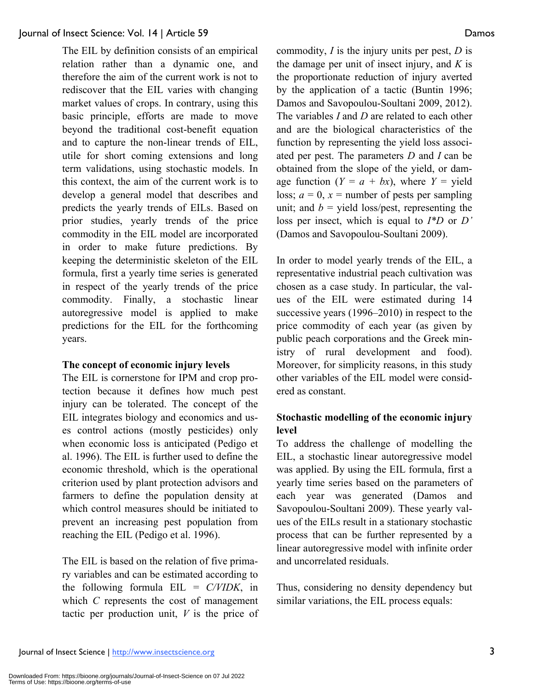## Journal of Insect Science: Vol. 14 | Article 59 Damos

The EIL by definition consists of an empirical relation rather than a dynamic one, and therefore the aim of the current work is not to rediscover that the EIL varies with changing market values of crops. In contrary, using this basic principle, efforts are made to move beyond the traditional cost-benefit equation and to capture the non-linear trends of EIL, utile for short coming extensions and long term validations, using stochastic models. In this context, the aim of the current work is to develop a general model that describes and predicts the yearly trends of EILs. Based on prior studies, yearly trends of the price commodity in the EIL model are incorporated in order to make future predictions. By keeping the deterministic skeleton of the EIL formula, first a yearly time series is generated in respect of the yearly trends of the price commodity. Finally, a stochastic linear autoregressive model is applied to make predictions for the EIL for the forthcoming years.

## **The concept of economic injury levels**

The EIL is cornerstone for IPM and crop protection because it defines how much pest injury can be tolerated. The concept of the EIL integrates biology and economics and uses control actions (mostly pesticides) only when economic loss is anticipated (Pedigo et al. 1996). The EIL is further used to define the economic threshold, which is the operational criterion used by plant protection advisors and farmers to define the population density at which control measures should be initiated to prevent an increasing pest population from reaching the EIL (Pedigo et al. 1996).

The EIL is based on the relation of five primary variables and can be estimated according to the following formula EIL *= C/VIDK*, in which *C* represents the cost of management tactic per production unit, *V* is the price of commodity, *I* is the injury units per pest, *D* is the damage per unit of insect injury, and *K* is the proportionate reduction of injury averted by the application of a tactic (Buntin 1996; Damos and Savopoulou-Soultani 2009, 2012). The variables *I* and *D* are related to each other and are the biological characteristics of the function by representing the yield loss associated per pest. The parameters *D* and *I* can be obtained from the slope of the yield, or damage function  $(Y = a + bx)$ , where  $Y =$  yield loss;  $a = 0$ ,  $x =$  number of pests per sampling unit; and  $b =$  yield loss/pest, representing the loss per insect, which is equal to *I\*D* or *D'*  (Damos and Savopoulou-Soultani 2009).

In order to model yearly trends of the EIL, a representative industrial peach cultivation was chosen as a case study. In particular, the values of the EIL were estimated during 14 successive years (1996–2010) in respect to the price commodity of each year (as given by public peach corporations and the Greek ministry of rural development and food). Moreover, for simplicity reasons, in this study other variables of the EIL model were considered as constant.

## **Stochastic modelling of the economic injury level**

To address the challenge of modelling the EIL, a stochastic linear autoregressive model was applied. By using the EIL formula, first a yearly time series based on the parameters of each year was generated (Damos and Savopoulou-Soultani 2009). These yearly values of the EILs result in a stationary stochastic process that can be further represented by a linear autoregressive model with infinite order and uncorrelated residuals.

Thus, considering no density dependency but similar variations, the EIL process equals: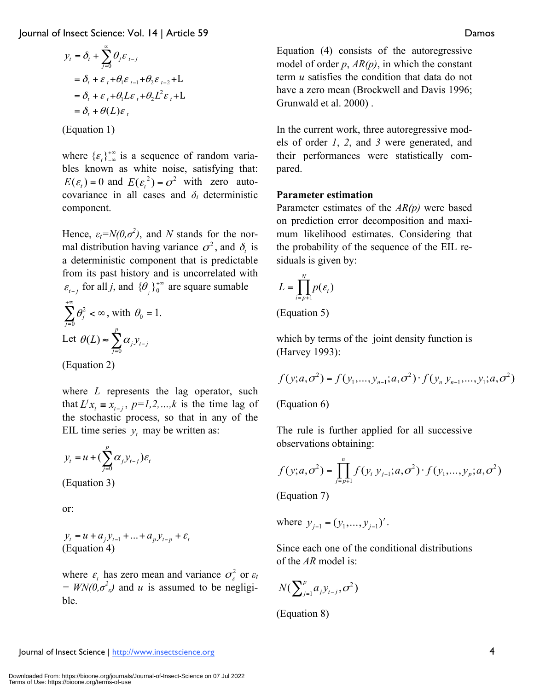$$
y_{t} = \delta_{t} + \sum_{j=0}^{\infty} \theta_{j} \varepsilon_{t-j}
$$
  
=  $\delta_{t} + \varepsilon_{t} + \theta_{1} \varepsilon_{t-1} + \theta_{2} \varepsilon_{t-2} + L$   
=  $\delta_{t} + \varepsilon_{t} + \theta_{1} L \varepsilon_{t} + \theta_{2} L^{2} \varepsilon_{t} + L$   
=  $\delta_{t} + \theta(L) \varepsilon_{t}$ 

(Equation 1)

where  $\{\varepsilon_t\}_{-\infty}^{+\infty}$  is a sequence of random variables known as white noise, satisfying that:  $E(\varepsilon_t) = 0$  and  $E(\varepsilon_t^2) = \sigma^2$  with zero autocovariance in all cases and  $\delta_t$  deterministic component.

Hence,  $\varepsilon_t = N(0, \sigma^2)$ , and *N* stands for the normal distribution having variance  $\sigma^2$ , and  $\delta$ , is a deterministic component that is predictable from its past history and is uncorrelated with  $\varepsilon_{t-j}$  for all *j*, and  $\{\theta_j\}_0^{+\infty}$  are square sumable

$$
\sum_{j=0}^{+\infty} \theta_j^2 < \infty \text{, with } \theta_0 = 1.
$$
\nLet  $\theta(L) \approx \sum_{j=0}^{p} \alpha_j y_{t-j}$ 

(Equation 2)

where *L* represents the lag operator, such that  $L^j x_i = x_{i-j}$ ,  $p=1,2,...,k$  is the time lag of the stochastic process, so that in any of the EIL time series  $y_t$  may be written as:

$$
y_t = u + \big(\sum_{j=0}^p \alpha_j y_{t-j}\big)\varepsilon_t
$$

(Equation 3)

or:

$$
y_t = u + a_j y_{t-1} + \dots + a_p y_{t-p} + \varepsilon_t
$$
  
(Equation 4)

where  $\varepsilon_t$  has zero mean and variance  $\sigma_\varepsilon^2$  or  $\varepsilon_t$  $=$  *WN(0,* $\sigma^2$ *<sub>ε</sub>)* and *u* is assumed to be negligible.

Equation (4) consists of the autoregressive model of order *p*, *AR(p)*, in which the constant term *u* satisfies the condition that data do not have a zero mean (Brockwell and Davis 1996; Grunwald et al. 2000) .

In the current work, three autoregressive models of order *1*, *2*, and *3* were generated, and their performances were statistically compared.

### **Parameter estimation**

Parameter estimates of the *AR(p)* were based on prediction error decomposition and maximum likelihood estimates. Considering that the probability of the sequence of the EIL residuals is given by:

$$
L = \prod_{i=p+1}^{N} p(\varepsilon_i)
$$

(Equation 5)

which by terms of the joint density function is (Harvey 1993):

$$
f(y; a, \sigma^2) = f(y_1, \ldots, y_{n-1}; a, \sigma^2) \cdot f(y_n | y_{n-1}, \ldots, y_1; a, \sigma^2)
$$

(Equation 6)

The rule is further applied for all successive observations obtaining:

$$
f(y; a, \sigma^2) = \prod_{j=p+1}^{n} f(y_i | y_{j-1}; a, \sigma^2) \cdot f(y_1, \dots, y_p; a, \sigma^2)
$$
  
(Equation 7)

 $(Equation 7)$ 

where 
$$
y_{j-1} = (y_1, \ldots, y_{j-1})'
$$
.

Since each one of the conditional distributions of the *AR* model is:

$$
N(\sum\nolimits_{j=1}^p a_j y_{t-j}, \sigma^2)
$$

(Equation 8)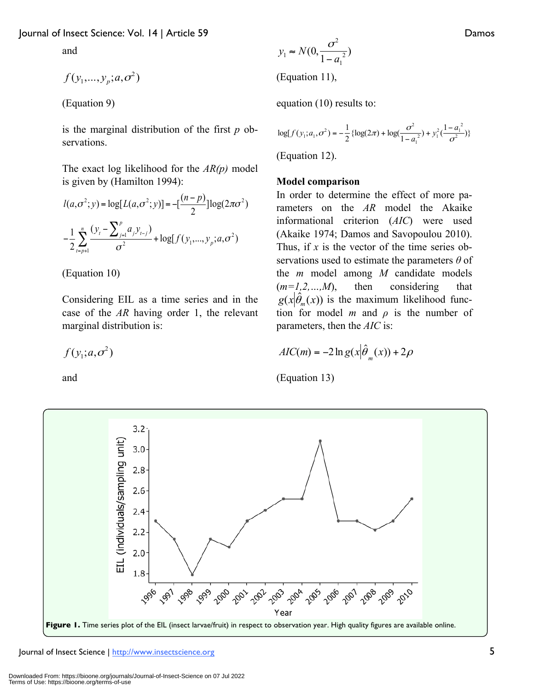and

$$
f(y_1,...,y_p; a, \sigma^2)
$$

(Equation 9)

is the marginal distribution of the first *p* observations.

The exact log likelihood for the *AR(p)* model is given by (Hamilton 1994):

$$
l(a, \sigma^2; y) = \log[L(a, \sigma^2; y)] = -[\frac{(n-p)}{2}]\log(2\pi\sigma^2)
$$

$$
-\frac{1}{2}\sum_{i=p+1}^n \frac{(y_i - \sum_{j=1}^p a_j y_{i-j})}{\sigma^2} + \log[f(y_1, \dots, y_p; a, \sigma^2)]
$$

(Equation 10)

Considering EIL as a time series and in the case of the *AR* having order 1, the relevant marginal distribution is:

 $f(y_1; a, \sigma^2)$ 

and



(Equation 11),

equation (10) results to:

$$
\log[f(y_1; a_1, \sigma^2) = -\frac{1}{2} \{ \log(2\pi) + \log(\frac{\sigma^2}{1 - a_1^2}) + y_1^2(\frac{1 - a_1^2}{\sigma^2}) \}
$$

(Equation 12).

### **Model comparison**

In order to determine the effect of more parameters on the *AR* model the Akaike informational criterion (*AIC*) were used (Akaike 1974; Damos and Savopoulou 2010). Thus, if *x* is the vector of the time series observations used to estimate the parameters *θ* of the *m* model among *M* candidate models  $(m=1,2,...,M)$ , then considering that  $g(x|\hat{\theta}_m(x))$  is the maximum likelihood function for model *m* and *ρ* is the number of parameters, then the *AIC* is:

$$
AIC(m) = -2\ln g(x|\hat{\theta}_m(x)) + 2\rho
$$

(Equation 13)



Journal of Insect Science | http://www.insectscience.org 5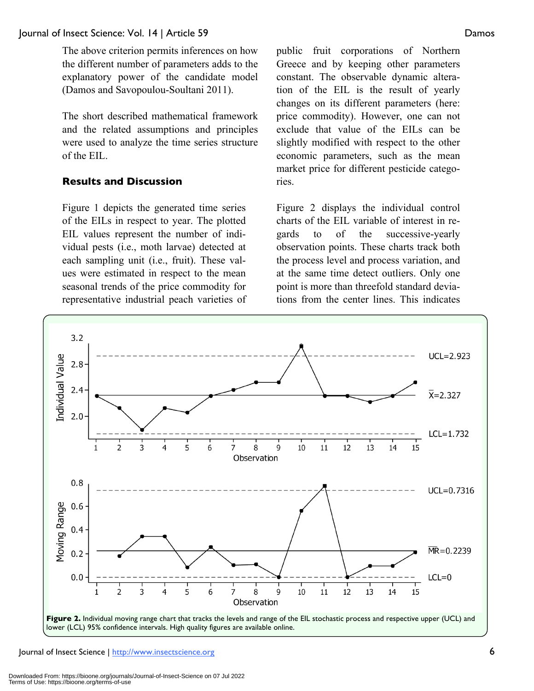The above criterion permits inferences on how the different number of parameters adds to the explanatory power of the candidate model (Damos and Savopoulou-Soultani 2011).

The short described mathematical framework and the related assumptions and principles were used to analyze the time series structure of the EIL.

## **Results and Discussion**

Figure 1 depicts the generated time series of the EILs in respect to year. The plotted EIL values represent the number of individual pests (i.e., moth larvae) detected at each sampling unit (i.e., fruit). These values were estimated in respect to the mean seasonal trends of the price commodity for representative industrial peach varieties of public fruit corporations of Northern Greece and by keeping other parameters constant. The observable dynamic alteration of the EIL is the result of yearly changes on its different parameters (here: price commodity). However, one can not exclude that value of the EILs can be slightly modified with respect to the other economic parameters, such as the mean market price for different pesticide categories.

Figure 2 displays the individual control charts of the EIL variable of interest in regards to of the successive-yearly observation points. These charts track both the process level and process variation, and at the same time detect outliers. Only one point is more than threefold standard deviations from the center lines. This indicates



Journal of Insect Science | http://www.insectscience.org 6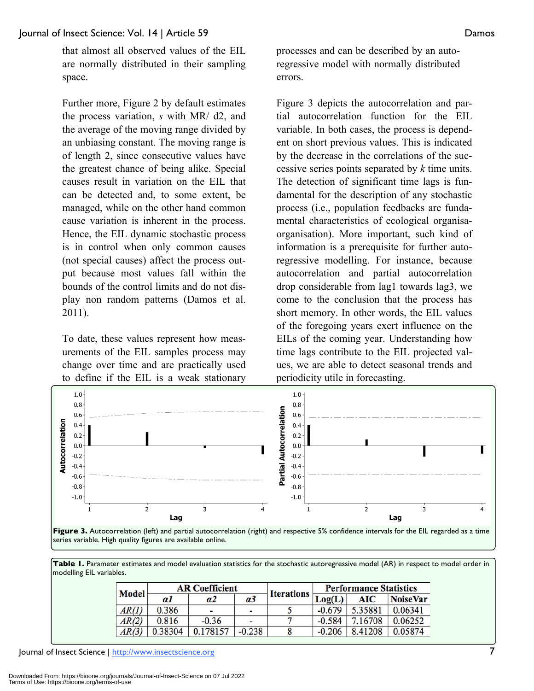that almost all observed values of the EIL are normally distributed in their sampling space.

Further more, Figure 2 by default estimates the process variation, *s* with MR/ d2, and the average of the moving range divided by an unbiasing constant. The moving range is of length 2, since consecutive values have the greatest chance of being alike. Special causes result in variation on the EIL that can be detected and, to some extent, be managed, while on the other hand common cause variation is inherent in the process. Hence, the EIL dynamic stochastic process is in control when only common causes (not special causes) affect the process output because most values fall within the bounds of the control limits and do not display non random patterns (Damos et al. 2011).

To date, these values represent how measurements of the EIL samples process may change over time and are practically used to define if the EIL is a weak stationary

processes and can be described by an autoregressive model with normally distributed errors.

Figure 3 depicts the autocorrelation and partial autocorrelation function for the EIL variable. In both cases, the process is dependent on short previous values. This is indicated by the decrease in the correlations of the successive series points separated by *k* time units. The detection of significant time lags is fundamental for the description of any stochastic process (i.e., population feedbacks are fundamental characteristics of ecological organisaorganisation). More important, such kind of information is a prerequisite for further autoregressive modelling. For instance, because autocorrelation and partial autocorrelation drop considerable from lag1 towards lag3, we come to the conclusion that the process has short memory. In other words, the EIL values of the foregoing years exert influence on the EILs of the coming year. Understanding how time lags contribute to the EIL projected values, we are able to detect seasonal trends and periodicity utile in forecasting.



Figure 3. Autocorrelation (left) and partial autocorrelation (right) and respective 5% confidence intervals for the EIL regarded as a time series variable. High quality figures are available online.

**Table 1.** Parameter estimates and model evaluation statistics for the stochastic autoregressive model (AR) in respect to model order in modelling EIL variables.

| <b>Model</b> | <b>AR Coefficient</b> |                |            |                   | <b>Performance Statistics</b> |            |                 |
|--------------|-----------------------|----------------|------------|-------------------|-------------------------------|------------|-----------------|
|              | a                     | a2             | $\alpha$ 3 | <b>Iterations</b> | Log(L)                        | <b>AIC</b> | <b>NoiseVar</b> |
| AR(1)        | 0.386                 | $\blacksquare$ |            |                   | $-0.679$                      | 5.35881    | 0.06341         |
| AR(2)        | 0.816                 | $-0.36$        | $\sim$     |                   | $-0.584$                      | 16708      | 0.06252         |
| AR(3)        | 0.38304               | 0.178157       | $-0.238$   |                   |                               | 8.41208    | 0.05874         |

Journal of Insect Science | http://www.insectscience.org 7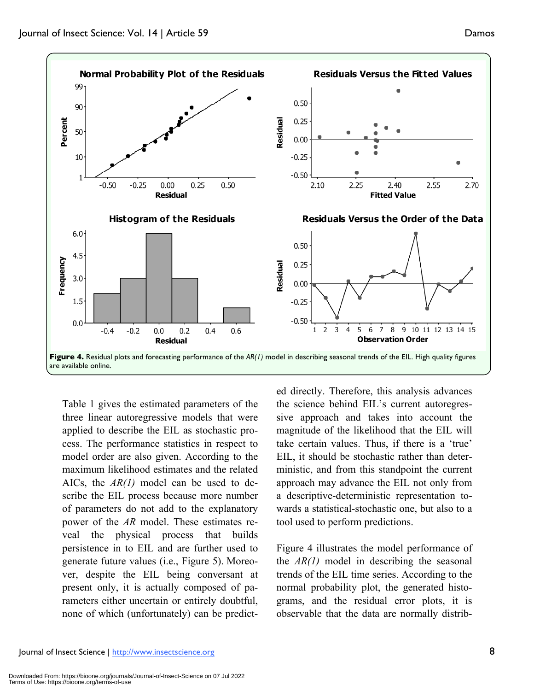

Table 1 gives the estimated parameters of the three linear autoregressive models that were applied to describe the EIL as stochastic process. The performance statistics in respect to model order are also given. According to the maximum likelihood estimates and the related AICs, the *AR(1)* model can be used to describe the EIL process because more number of parameters do not add to the explanatory power of the *AR* model. These estimates reveal the physical process that builds persistence in to EIL and are further used to generate future values (i.e., Figure 5). Moreover, despite the EIL being conversant at present only, it is actually composed of parameters either uncertain or entirely doubtful, none of which (unfortunately) can be predicted directly. Therefore, this analysis advances the science behind EIL's current autoregressive approach and takes into account the magnitude of the likelihood that the EIL will take certain values. Thus, if there is a 'true' EIL, it should be stochastic rather than deterministic, and from this standpoint the current approach may advance the EIL not only from a descriptive-deterministic representation towards a statistical-stochastic one, but also to a tool used to perform predictions.

Figure 4 illustrates the model performance of the *AR(1)* model in describing the seasonal trends of the EIL time series. According to the normal probability plot, the generated histograms, and the residual error plots, it is observable that the data are normally distrib-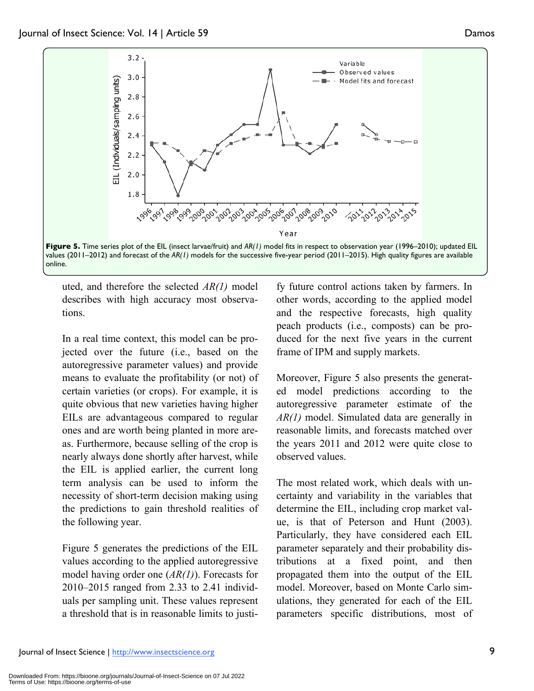

**Figure 5.** Time series plot of the EIL (insect larvae/fruit) and *AR(1)* model fits in respect to observation year (1996–2010); updated EIL values (2011–2012) and forecast of the *AR(1)* models for the successive five-year period (2011–2015). High quality figures are available online.

uted, and therefore the selected *AR(1)* model describes with high accuracy most observations.

In a real time context, this model can be projected over the future (i.e., based on the autoregressive parameter values) and provide means to evaluate the profitability (or not) of certain varieties (or crops). For example, it is quite obvious that new varieties having higher EILs are advantageous compared to regular ones and are worth being planted in more areas. Furthermore, because selling of the crop is nearly always done shortly after harvest, while the EIL is applied earlier, the current long term analysis can be used to inform the necessity of short-term decision making using the predictions to gain threshold realities of the following year.

Figure 5 generates the predictions of the EIL values according to the applied autoregressive model having order one (*AR(1)*). Forecasts for 2010–2015 ranged from 2.33 to 2.41 individuals per sampling unit. These values represent a threshold that is in reasonable limits to justi-

fy future control actions taken by farmers. In other words, according to the applied model and the respective forecasts, high quality peach products (i.e., composts) can be produced for the next five years in the current frame of IPM and supply markets.

Moreover, Figure 5 also presents the generated model predictions according to the autoregressive parameter estimate of the *AR(1)* model. Simulated data are generally in reasonable limits, and forecasts matched over the years 2011 and 2012 were quite close to observed values.

The most related work, which deals with uncertainty and variability in the variables that determine the EIL, including crop market value, is that of Peterson and Hunt (2003). Particularly, they have considered each EIL parameter separately and their probability distributions at a fixed point, and then propagated them into the output of the EIL model. Moreover, based on Monte Carlo simulations, they generated for each of the EIL parameters specific distributions, most of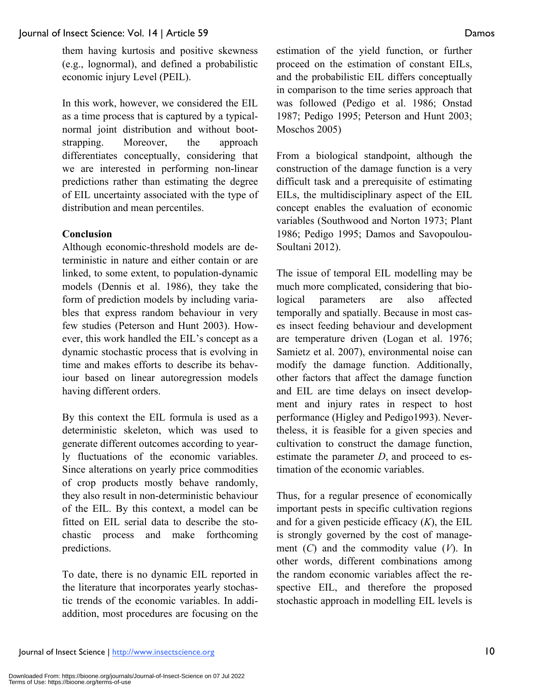them having kurtosis and positive skewness (e.g., lognormal), and defined a probabilistic economic injury Level (PEIL).

In this work, however, we considered the EIL as a time process that is captured by a typicalnormal joint distribution and without bootstrapping. Moreover, the approach differentiates conceptually, considering that we are interested in performing non-linear predictions rather than estimating the degree of EIL uncertainty associated with the type of distribution and mean percentiles.

## **Conclusion**

Although economic-threshold models are deterministic in nature and either contain or are linked, to some extent, to population-dynamic models (Dennis et al. 1986), they take the form of prediction models by including variables that express random behaviour in very few studies (Peterson and Hunt 2003). However, this work handled the EIL's concept as a dynamic stochastic process that is evolving in time and makes efforts to describe its behaviour based on linear autoregression models having different orders.

By this context the EIL formula is used as a deterministic skeleton, which was used to generate different outcomes according to yearly fluctuations of the economic variables. Since alterations on yearly price commodities of crop products mostly behave randomly, they also result in non-deterministic behaviour of the EIL. By this context, a model can be fitted on EIL serial data to describe the stochastic process and make forthcoming predictions.

To date, there is no dynamic EIL reported in the literature that incorporates yearly stochastic trends of the economic variables. In addiaddition, most procedures are focusing on the estimation of the yield function, or further proceed on the estimation of constant EILs, and the probabilistic EIL differs conceptually in comparison to the time series approach that was followed (Pedigo et al. 1986; Onstad 1987; Pedigo 1995; Peterson and Hunt 2003; Moschos 2005)

From a biological standpoint, although the construction of the damage function is a very difficult task and a prerequisite of estimating EILs, the multidisciplinary aspect of the EIL concept enables the evaluation of economic variables (Southwood and Norton 1973; Plant 1986; Pedigo 1995; Damos and Savopoulou-Soultani 2012).

The issue of temporal EIL modelling may be much more complicated, considering that biological parameters are also affected temporally and spatially. Because in most cases insect feeding behaviour and development are temperature driven (Logan et al. 1976; Samietz et al. 2007), environmental noise can modify the damage function. Additionally, other factors that affect the damage function and EIL are time delays on insect development and injury rates in respect to host performance (Higley and Pedigo1993). Nevertheless, it is feasible for a given species and cultivation to construct the damage function, estimate the parameter *D*, and proceed to estimation of the economic variables.

Thus, for a regular presence of economically important pests in specific cultivation regions and for a given pesticide efficacy (*K*), the EIL is strongly governed by the cost of management (*C*) and the commodity value (*V*). In other words, different combinations among the random economic variables affect the respective EIL, and therefore the proposed stochastic approach in modelling EIL levels is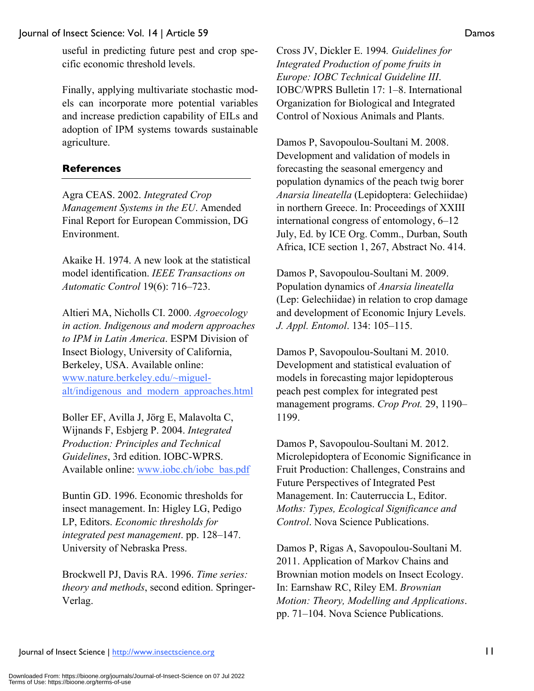useful in predicting future pest and crop specific economic threshold levels.

Finally, applying multivariate stochastic models can incorporate more potential variables and increase prediction capability of EILs and adoption of IPM systems towards sustainable agriculture.

## **References**

Agra CEAS. 2002. *Integrated Crop Management Systems in the EU*. Amended Final Report for European Commission, DG Environment.

Akaike H. 1974. A new look at the statistical model identification. *IEEE Transactions on Automatic Control* 19(6): 716–723.

Altieri MA, Nicholls CI. 2000. *Agroecology in action. Indigenous and modern approaches to IPM in Latin America*. ESPM Division of Insect Biology, University of California, Berkeley, USA. Available online: www.nature.berkeley.edu/~miguelalt/indigenous\_and\_modern\_approaches.html

Boller EF, Avilla J, Jörg E, Malavolta C, Wijnands F, Esbjerg P. 2004. *Integrated Production: Principles and Technical Guidelines*, 3rd edition. IOBC-WPRS. Available online: www.iobc.ch/iobc\_bas.pdf

Buntin GD. 1996. Economic thresholds for insect management. In: Higley LG, Pedigo LP, Editors. *Economic thresholds for integrated pest management*. pp. 128–147. University of Nebraska Press.

Brockwell PJ, Davis RA. 1996. *Time series: theory and methods*, second edition. Springer-Verlag.

Cross JV, Dickler E. 1994*. Guidelines for Integrated Production of pome fruits in Europe: IOBC Technical Guideline III*. IOBC/WPRS Bulletin 17: 1–8. International Organization for Biological and Integrated Control of Noxious Animals and Plants.

Damos P, Savopoulou-Soultani M. 2008. Development and validation of models in forecasting the seasonal emergency and population dynamics of the peach twig borer *Anarsia lineatella* (Lepidoptera: Gelechiidae) in northern Greece. In: Proceedings of XXIII international congress of entomology, 6–12 July, Ed. by ICE Org. Comm., Durban, South Africa, ICE section 1, 267, Abstract No. 414.

Damos P, Savopoulou-Soultani M. 2009. Population dynamics of *Anarsia lineatella*  (Lep: Gelechiidae) in relation to crop damage and development of Economic Injury Levels. *J. Appl. Entomol*. 134: 105–115.

Damos P, Savopoulou-Soultani M. 2010. Development and statistical evaluation of models in forecasting major lepidopterous peach pest complex for integrated pest management programs. *Crop Prot.* 29, 1190– 1199.

Damos P, Savopoulou-Soultani M. 2012. Microlepidoptera of Economic Significance in Fruit Production: Challenges, Constrains and Future Perspectives of Integrated Pest Management. In: Cauterruccia L, Editor. *Moths: Types, Ecological Significance and Control*. Nova Science Publications.

Damos P, Rigas A, Savopoulou-Soultani M. 2011. Application of Markov Chains and Brownian motion models on Insect Ecology. In: Earnshaw RC, Riley EM. *Brownian Motion: Theory, Modelling and Applications*. pp. 71–104. Nova Science Publications.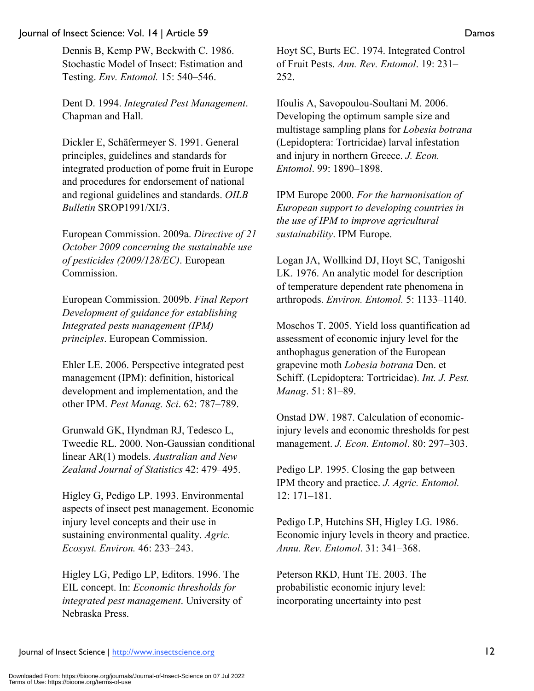### Journal of Insect Science: Vol. 14 | Article 59 Damos

Dennis B, Kemp PW, Beckwith C. 1986. Stochastic Model of Insect: Estimation and Testing. *Env. Entomol.* 15: 540–546.

Dent D. 1994. *Integrated Pest Management*. Chapman and Hall.

Dickler E, Schäfermeyer S. 1991. General principles, guidelines and standards for integrated production of pome fruit in Europe and procedures for endorsement of national and regional guidelines and standards. *OILB Bulletin* SROP1991/XI/3.

European Commission. 2009a. *Directive of 21 October 2009 concerning the sustainable use of pesticides (2009/128/EC)*. European Commission.

European Commission. 2009b. *Final Report Development of guidance for establishing Integrated pests management (IPM) principles*. European Commission.

Ehler LE. 2006. Perspective integrated pest management (IPM): definition, historical development and implementation, and the other IPM. *Pest Manag. Sci*. 62: 787–789.

Grunwald GK, Hyndman RJ, Tedesco L, Tweedie RL. 2000. Non-Gaussian conditional linear AR(1) models. *Australian and New Zealand Journal of Statistics* 42: 479–495.

Higley G, Pedigo LP. 1993. Environmental aspects of insect pest management. Economic injury level concepts and their use in sustaining environmental quality. *Agric. Ecosyst. Environ.* 46: 233–243.

Higley LG, Pedigo LP, Editors. 1996. The EIL concept. In: *Economic thresholds for integrated pest management*. University of Nebraska Press.

Hoyt SC, Burts EC. 1974. Integrated Control of Fruit Pests. *Ann. Rev. Entomol*. 19: 231– 252.

Ifoulis A, Savopoulou-Soultani M. 2006. Developing the optimum sample size and multistage sampling plans for *Lobesia botrana*  (Lepidoptera: Tortricidae) larval infestation and injury in northern Greece. *J. Econ. Entomol*. 99: 1890–1898.

IPM Europe 2000. *For the harmonisation of European support to developing countries in the use of IPM to improve agricultural sustainability*. IPM Europe.

Logan JA, Wollkind DJ, Hoyt SC, Tanigoshi LK. 1976. An analytic model for description of temperature dependent rate phenomena in arthropods. *Environ. Entomol.* 5: 1133–1140.

Moschos T. 2005. Yield loss quantification ad assessment of economic injury level for the anthophagus generation of the European grapevine moth *Lobesia botrana* Den. et Schiff. (Lepidoptera: Tortricidae). *Int. J. Pest. Manag*. 51: 81–89.

Onstad DW. 1987. Calculation of economicinjury levels and economic thresholds for pest management. *J. Econ. Entomol*. 80: 297–303.

Pedigo LP. 1995. Closing the gap between IPM theory and practice. *J. Agric. Entomol.* 12: 171–181.

Pedigo LP, Hutchins SH, Higley LG. 1986. Economic injury levels in theory and practice. *Annu. Rev. Entomol*. 31: 341–368.

Peterson RKD, Hunt TE. 2003. The probabilistic economic injury level: incorporating uncertainty into pest